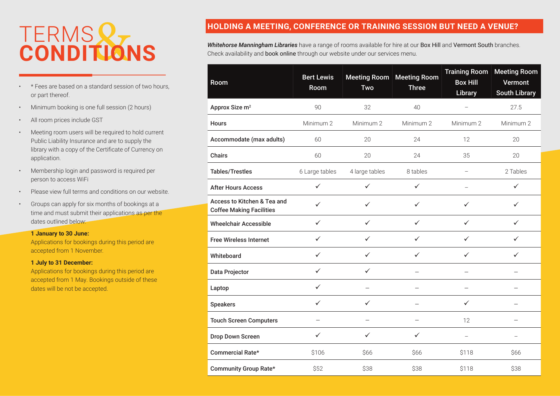## TERMS **CONDITIONS**

- \* Fees are based on a standard session of two hours, or part thereof.
- Minimum booking is one full session (2 hours)
- All room prices include GST
- Meeting room users will be required to hold current Public Liability Insurance and are to supply the library with a copy of the Certificate of Currency on application.
- Membership login and password is required per person to access WiFi
- Please view full terms and conditions on our website.
- Groups can apply for six months of bookings at a time and must submit their applications as per the dates outlined below:

#### **1 January to 30 June:**

Applications for bookings during this period are accepted from 1 November.

#### **1 July to 31 December:**

Applications for bookings during this period are accepted from 1 May. Bookings outside of these dates will be not be accepted.

#### **HOLDING A MEETING, CONFERENCE OR TRAINING SESSION BUT NEED A VENUE?**

*Whitehorse Manningham Libraries* have a range of rooms available for hire at our Box Hill and Vermont South branches. Check availability and book online through our website under our services menu.

| Room                                                           | <b>Bert Lewis</b><br>Room | <b>Meeting Room</b><br>Two | <b>Meeting Room</b><br><b>Three</b> | <b>Training Room</b><br><b>Box Hill</b><br>Library | <b>Meeting Room</b><br>Vermont<br><b>South Library</b> |
|----------------------------------------------------------------|---------------------------|----------------------------|-------------------------------------|----------------------------------------------------|--------------------------------------------------------|
| Approx Size m <sup>2</sup>                                     | 90                        | 32                         | 40                                  |                                                    | 27.5                                                   |
| <b>Hours</b>                                                   | Minimum 2                 | Minimum 2                  | Minimum 2                           | Minimum 2                                          | Minimum 2                                              |
| Accommodate (max adults)                                       | 60                        | 20                         | 24                                  | 12                                                 | 20                                                     |
| <b>Chairs</b>                                                  | 60                        | 20                         | 24                                  | 35                                                 | 20                                                     |
| <b>Tables/Trestles</b>                                         | 6 Large tables            | 4 large tables             | 8 tables                            |                                                    | 2 Tables                                               |
| <b>After Hours Access</b>                                      | $\checkmark$              | ✓                          | ✓                                   |                                                    | ✓                                                      |
| Access to Kitchen & Tea and<br><b>Coffee Making Facilities</b> | ✓                         | ✓                          | $\checkmark$                        | $\checkmark$                                       | ✓                                                      |
| <b>Wheelchair Accessible</b>                                   | $\checkmark$              | $\checkmark$               | $\checkmark$                        | $\checkmark$                                       | $\checkmark$                                           |
| <b>Free Wireless Internet</b>                                  | $\checkmark$              | $\checkmark$               | $\checkmark$                        | $\checkmark$                                       | ✓                                                      |
| Whiteboard                                                     | $\checkmark$              | $\checkmark$               | ✓                                   | $\checkmark$                                       | ✓                                                      |
| Data Projector                                                 | ✓                         | ✓                          |                                     |                                                    |                                                        |
| Laptop                                                         | ✓                         | $\overline{\phantom{0}}$   |                                     | $\overline{\phantom{0}}$                           |                                                        |
| <b>Speakers</b>                                                | ✓                         | ✓                          |                                     | ✓                                                  |                                                        |
| <b>Touch Screen Computers</b>                                  | $\overline{\phantom{0}}$  | $\equiv$                   | $\overline{\phantom{0}}$            | 12                                                 |                                                        |
| Drop Down Screen                                               | ✓                         | ✓                          | ✓                                   |                                                    |                                                        |
| Commercial Rate*                                               | \$106                     | \$66                       | \$66                                | \$118                                              | \$66                                                   |
| Community Group Rate*                                          | \$52                      | \$38                       | \$38                                | \$118                                              | \$38                                                   |